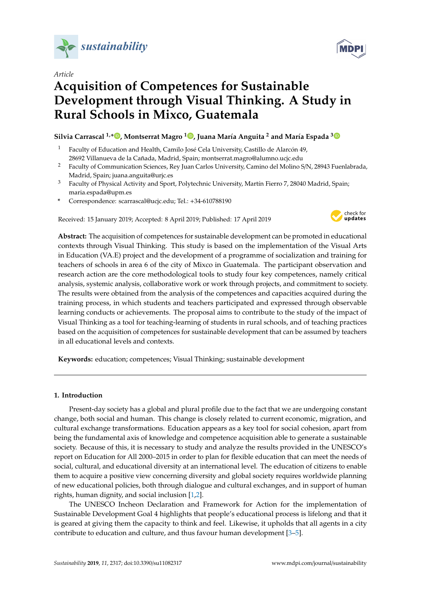

*Article*

# **Acquisition of Competences for Sustainable Development through Visual Thinking. A Study in Rural Schools in Mixco, Guatemala**

# **Silvia Carrascal 1,[\\*](https://orcid.org/0000-0002-5403-9395) , Montserrat Magro <sup>1</sup> [,](https://orcid.org/0000-0002-3176-4682) Juana María Anguita <sup>2</sup> and María Espada [3](https://orcid.org/0000-0002-3815-1037)**

- <sup>1</sup> Faculty of Education and Health, Camilo José Cela University, Castillo de Alarcón 49, 28692 Villanueva de la Cañada, Madrid, Spain; montserrat.magro@alumno.ucjc.edu
- <sup>2</sup> Faculty of Communication Sciences, Rey Juan Carlos University, Camino del Molino S/N, 28943 Fuenlabrada, Madrid, Spain; juana.anguita@urjc.es
- <sup>3</sup> Faculty of Physical Activity and Sport, Polytechnic University, Martín Fierro 7, 28040 Madrid, Spain; maria.espada@upm.es
- **\*** Correspondence: scarrascal@ucjc.edu; Tel.: +34-610788190

Received: 15 January 2019; Accepted: 8 April 2019; Published: 17 April 2019



**Abstract:** The acquisition of competences for sustainable development can be promoted in educational contexts through Visual Thinking. This study is based on the implementation of the Visual Arts in Education (VA.E) project and the development of a programme of socialization and training for teachers of schools in area 6 of the city of Mixco in Guatemala. The participant observation and research action are the core methodological tools to study four key competences, namely critical analysis, systemic analysis, collaborative work or work through projects, and commitment to society. The results were obtained from the analysis of the competences and capacities acquired during the training process, in which students and teachers participated and expressed through observable learning conducts or achievements. The proposal aims to contribute to the study of the impact of Visual Thinking as a tool for teaching-learning of students in rural schools, and of teaching practices based on the acquisition of competences for sustainable development that can be assumed by teachers in all educational levels and contexts.

**Keywords:** education; competences; Visual Thinking; sustainable development

### **1. Introduction**

Present-day society has a global and plural profile due to the fact that we are undergoing constant change, both social and human. This change is closely related to current economic, migration, and cultural exchange transformations. Education appears as a key tool for social cohesion, apart from being the fundamental axis of knowledge and competence acquisition able to generate a sustainable society. Because of this, it is necessary to study and analyze the results provided in the UNESCO's report on Education for All 2000–2015 in order to plan for flexible education that can meet the needs of social, cultural, and educational diversity at an international level. The education of citizens to enable them to acquire a positive view concerning diversity and global society requires worldwide planning of new educational policies, both through dialogue and cultural exchanges, and in support of human rights, human dignity, and social inclusion [\[1](#page-16-0)[,2\]](#page-16-1).

The UNESCO Incheon Declaration and Framework for Action for the implementation of Sustainable Development Goal 4 highlights that people's educational process is lifelong and that it is geared at giving them the capacity to think and feel. Likewise, it upholds that all agents in a city contribute to education and culture, and thus favour human development [\[3–](#page-16-2)[5\]](#page-16-3).

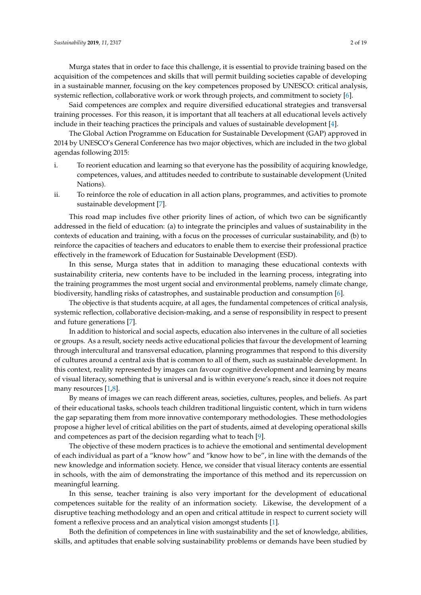Murga states that in order to face this challenge, it is essential to provide training based on the acquisition of the competences and skills that will permit building societies capable of developing in a sustainable manner, focusing on the key competences proposed by UNESCO: critical analysis, systemic reflection, collaborative work or work through projects, and commitment to society [\[6\]](#page-16-4).

Said competences are complex and require diversified educational strategies and transversal training processes. For this reason, it is important that all teachers at all educational levels actively include in their teaching practices the principals and values of sustainable development [\[4\]](#page-16-5).

The Global Action Programme on Education for Sustainable Development (GAP) approved in 2014 by UNESCO's General Conference has two major objectives, which are included in the two global agendas following 2015:

- i. To reorient education and learning so that everyone has the possibility of acquiring knowledge, competences, values, and attitudes needed to contribute to sustainable development (United Nations).
- ii. To reinforce the role of education in all action plans, programmes, and activities to promote sustainable development [\[7\]](#page-16-6).

This road map includes five other priority lines of action, of which two can be significantly addressed in the field of education: (a) to integrate the principles and values of sustainability in the contexts of education and training, with a focus on the processes of curricular sustainability, and (b) to reinforce the capacities of teachers and educators to enable them to exercise their professional practice effectively in the framework of Education for Sustainable Development (ESD).

In this sense, Murga states that in addition to managing these educational contexts with sustainability criteria, new contents have to be included in the learning process, integrating into the training programmes the most urgent social and environmental problems, namely climate change, biodiversity, handling risks of catastrophes, and sustainable production and consumption [\[6\]](#page-16-4).

The objective is that students acquire, at all ages, the fundamental competences of critical analysis, systemic reflection, collaborative decision-making, and a sense of responsibility in respect to present and future generations [\[7\]](#page-16-6).

In addition to historical and social aspects, education also intervenes in the culture of all societies or groups. As a result, society needs active educational policies that favour the development of learning through intercultural and transversal education, planning programmes that respond to this diversity of cultures around a central axis that is common to all of them, such as sustainable development. In this context, reality represented by images can favour cognitive development and learning by means of visual literacy, something that is universal and is within everyone's reach, since it does not require many resources [\[1](#page-16-0)[,8\]](#page-16-7).

By means of images we can reach different areas, societies, cultures, peoples, and beliefs. As part of their educational tasks, schools teach children traditional linguistic content, which in turn widens the gap separating them from more innovative contemporary methodologies. These methodologies propose a higher level of critical abilities on the part of students, aimed at developing operational skills and competences as part of the decision regarding what to teach [\[9\]](#page-16-8).

The objective of these modern practices is to achieve the emotional and sentimental development of each individual as part of a "know how" and "know how to be", in line with the demands of the new knowledge and information society. Hence, we consider that visual literacy contents are essential in schools, with the aim of demonstrating the importance of this method and its repercussion on meaningful learning.

In this sense, teacher training is also very important for the development of educational competences suitable for the reality of an information society. Likewise, the development of a disruptive teaching methodology and an open and critical attitude in respect to current society will foment a reflexive process and an analytical vision amongst students [\[1\]](#page-16-0).

Both the definition of competences in line with sustainability and the set of knowledge, abilities, skills, and aptitudes that enable solving sustainability problems or demands have been studied by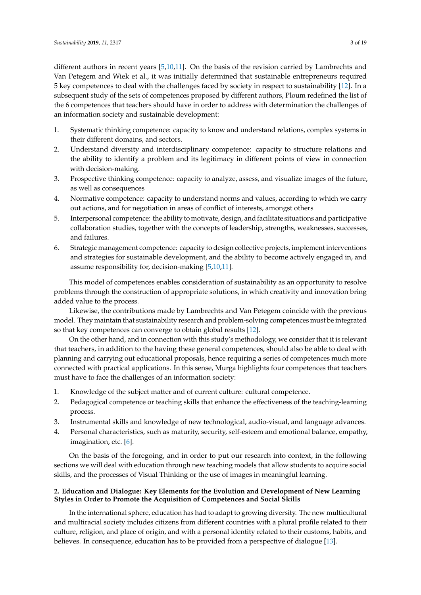different authors in recent years [\[5](#page-16-3)[,10](#page-16-9)[,11\]](#page-16-10). On the basis of the revision carried by Lambrechts and Van Petegem and Wiek et al., it was initially determined that sustainable entrepreneurs required 5 key competences to deal with the challenges faced by society in respect to sustainability [\[12\]](#page-16-11). In a subsequent study of the sets of competences proposed by different authors, Ploum redefined the list of the 6 competences that teachers should have in order to address with determination the challenges of an information society and sustainable development:

- 1. Systematic thinking competence: capacity to know and understand relations, complex systems in their different domains, and sectors.
- 2. Understand diversity and interdisciplinary competence: capacity to structure relations and the ability to identify a problem and its legitimacy in different points of view in connection with decision-making.
- 3. Prospective thinking competence: capacity to analyze, assess, and visualize images of the future, as well as consequences
- 4. Normative competence: capacity to understand norms and values, according to which we carry out actions, and for negotiation in areas of conflict of interests, amongst others
- 5. Interpersonal competence: the ability to motivate, design, and facilitate situations and participative collaboration studies, together with the concepts of leadership, strengths, weaknesses, successes, and failures.
- 6. Strategic management competence: capacity to design collective projects, implement interventions and strategies for sustainable development, and the ability to become actively engaged in, and assume responsibility for, decision-making [\[5](#page-16-3)[,10](#page-16-9)[,11\]](#page-16-10).

This model of competences enables consideration of sustainability as an opportunity to resolve problems through the construction of appropriate solutions, in which creativity and innovation bring added value to the process.

Likewise, the contributions made by Lambrechts and Van Petegem coincide with the previous model. They maintain that sustainability research and problem-solving competences must be integrated so that key competences can converge to obtain global results [\[12\]](#page-16-11).

On the other hand, and in connection with this study's methodology, we consider that it is relevant that teachers, in addition to the having these general competences, should also be able to deal with planning and carrying out educational proposals, hence requiring a series of competences much more connected with practical applications. In this sense, Murga highlights four competences that teachers must have to face the challenges of an information society:

- 1. Knowledge of the subject matter and of current culture: cultural competence.
- 2. Pedagogical competence or teaching skills that enhance the effectiveness of the teaching-learning process.
- 3. Instrumental skills and knowledge of new technological, audio-visual, and language advances.
- 4. Personal characteristics, such as maturity, security, self-esteem and emotional balance, empathy, imagination, etc. [\[6\]](#page-16-4).

On the basis of the foregoing, and in order to put our research into context, in the following sections we will deal with education through new teaching models that allow students to acquire social skills, and the processes of Visual Thinking or the use of images in meaningful learning.

# **2. Education and Dialogue: Key Elements for the Evolution and Development of New Learning Styles in Order to Promote the Acquisition of Competences and Social Skills**

In the international sphere, education has had to adapt to growing diversity. The new multicultural and multiracial society includes citizens from different countries with a plural profile related to their culture, religion, and place of origin, and with a personal identity related to their customs, habits, and believes. In consequence, education has to be provided from a perspective of dialogue [\[13\]](#page-16-12).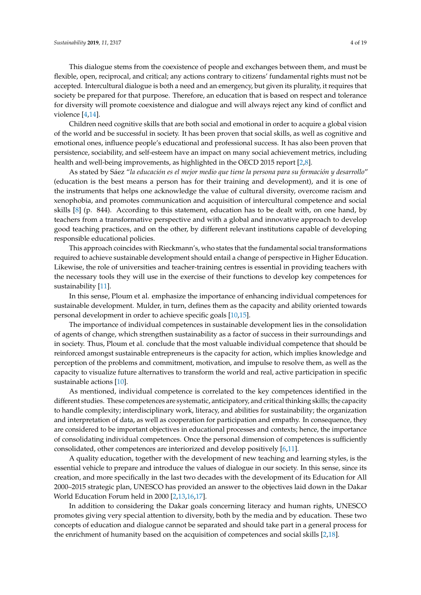violence [\[4,](#page-16-5)[14\]](#page-16-13).

Children need cognitive skills that are both social and emotional in order to acquire a global vision of the world and be successful in society. It has been proven that social skills, as well as cognitive and emotional ones, influence people's educational and professional success. It has also been proven that persistence, sociability, and self-esteem have an impact on many social achievement metrics, including health and well-being improvements, as highlighted in the OECD 2015 report [\[2,](#page-16-1)[8\]](#page-16-7).

As stated by Sáez "*la educación es el mejor medio que tiene la persona para su formación y desarrollo*" (education is the best means a person has for their training and development), and it is one of the instruments that helps one acknowledge the value of cultural diversity, overcome racism and xenophobia, and promotes communication and acquisition of intercultural competence and social skills [\[8\]](#page-16-7) (p. 844). According to this statement, education has to be dealt with, on one hand, by teachers from a transformative perspective and with a global and innovative approach to develop good teaching practices, and on the other, by different relevant institutions capable of developing responsible educational policies.

This approach coincides with Rieckmann's, who states that the fundamental social transformations required to achieve sustainable development should entail a change of perspective in Higher Education. Likewise, the role of universities and teacher-training centres is essential in providing teachers with the necessary tools they will use in the exercise of their functions to develop key competences for sustainability [\[11\]](#page-16-10).

In this sense, Ploum et al. emphasize the importance of enhancing individual competences for sustainable development. Mulder, in turn, defines them as the capacity and ability oriented towards personal development in order to achieve specific goals [\[10,](#page-16-9)[15\]](#page-16-14).

The importance of individual competences in sustainable development lies in the consolidation of agents of change, which strengthen sustainability as a factor of success in their surroundings and in society. Thus, Ploum et al. conclude that the most valuable individual competence that should be reinforced amongst sustainable entrepreneurs is the capacity for action, which implies knowledge and perception of the problems and commitment, motivation, and impulse to resolve them, as well as the capacity to visualize future alternatives to transform the world and real, active participation in specific sustainable actions [\[10\]](#page-16-9).

As mentioned, individual competence is correlated to the key competences identified in the different studies. These competences are systematic, anticipatory, and critical thinking skills; the capacity to handle complexity; interdisciplinary work, literacy, and abilities for sustainability; the organization and interpretation of data, as well as cooperation for participation and empathy. In consequence, they are considered to be important objectives in educational processes and contexts; hence, the importance of consolidating individual competences. Once the personal dimension of competences is sufficiently consolidated, other competences are interiorized and develop positively [\[6,](#page-16-4)[11\]](#page-16-10).

A quality education, together with the development of new teaching and learning styles, is the essential vehicle to prepare and introduce the values of dialogue in our society. In this sense, since its creation, and more specifically in the last two decades with the development of its Education for All 2000–2015 strategic plan, UNESCO has provided an answer to the objectives laid down in the Dakar World Education Forum held in 2000 [\[2](#page-16-1)[,13](#page-16-12)[,16](#page-16-15)[,17\]](#page-16-16).

In addition to considering the Dakar goals concerning literacy and human rights, UNESCO promotes giving very special attention to diversity, both by the media and by education. These two concepts of education and dialogue cannot be separated and should take part in a general process for the enrichment of humanity based on the acquisition of competences and social skills [\[2](#page-16-1)[,18\]](#page-16-17).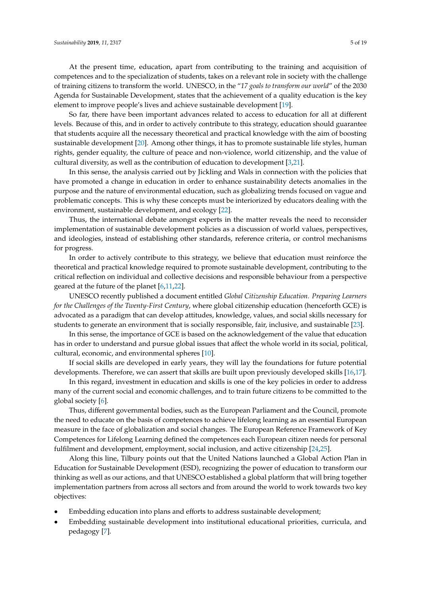At the present time, education, apart from contributing to the training and acquisition of competences and to the specialization of students, takes on a relevant role in society with the challenge of training citizens to transform the world. UNESCO, in the "*17 goals to transform our world*" of the 2030 Agenda for Sustainable Development, states that the achievement of a quality education is the key element to improve people's lives and achieve sustainable development [\[19\]](#page-16-18).

So far, there have been important advances related to access to education for all at different levels. Because of this, and in order to actively contribute to this strategy, education should guarantee that students acquire all the necessary theoretical and practical knowledge with the aim of boosting sustainable development [\[20\]](#page-16-19). Among other things, it has to promote sustainable life styles, human rights, gender equality, the culture of peace and non-violence, world citizenship, and the value of cultural diversity, as well as the contribution of education to development [\[3](#page-16-2)[,21\]](#page-16-20).

In this sense, the analysis carried out by Jickling and Wals in connection with the policies that have promoted a change in education in order to enhance sustainability detects anomalies in the purpose and the nature of environmental education, such as globalizing trends focused on vague and problematic concepts. This is why these concepts must be interiorized by educators dealing with the environment, sustainable development, and ecology [\[22\]](#page-16-21).

Thus, the international debate amongst experts in the matter reveals the need to reconsider implementation of sustainable development policies as a discussion of world values, perspectives, and ideologies, instead of establishing other standards, reference criteria, or control mechanisms for progress.

In order to actively contribute to this strategy, we believe that education must reinforce the theoretical and practical knowledge required to promote sustainable development, contributing to the critical reflection on individual and collective decisions and responsible behaviour from a perspective geared at the future of the planet [\[6,](#page-16-4)[11,](#page-16-10)[22\]](#page-16-21).

UNESCO recently published a document entitled *Global Citizenship Education. Preparing Learners for the Challenges of the Twenty-First Century*, where global citizenship education (henceforth GCE) is advocated as a paradigm that can develop attitudes, knowledge, values, and social skills necessary for students to generate an environment that is socially responsible, fair, inclusive, and sustainable [\[23\]](#page-16-22).

In this sense, the importance of GCE is based on the acknowledgement of the value that education has in order to understand and pursue global issues that affect the whole world in its social, political, cultural, economic, and environmental spheres [\[10\]](#page-16-9).

If social skills are developed in early years, they will lay the foundations for future potential developments. Therefore, we can assert that skills are built upon previously developed skills [\[16](#page-16-15)[,17\]](#page-16-16).

In this regard, investment in education and skills is one of the key policies in order to address many of the current social and economic challenges, and to train future citizens to be committed to the global society [\[6\]](#page-16-4).

Thus, different governmental bodies, such as the European Parliament and the Council, promote the need to educate on the basis of competences to achieve lifelong learning as an essential European measure in the face of globalization and social changes. The European Reference Framework of Key Competences for Lifelong Learning defined the competences each European citizen needs for personal fulfilment and development, employment, social inclusion, and active citizenship [\[24,](#page-17-0)[25\]](#page-17-1).

Along this line, Tilbury points out that the United Nations launched a Global Action Plan in Education for Sustainable Development (ESD), recognizing the power of education to transform our thinking as well as our actions, and that UNESCO established a global platform that will bring together implementation partners from across all sectors and from around the world to work towards two key objectives:

- Embedding education into plans and efforts to address sustainable development;
- Embedding sustainable development into institutional educational priorities, curricula, and pedagogy [\[7\]](#page-16-6).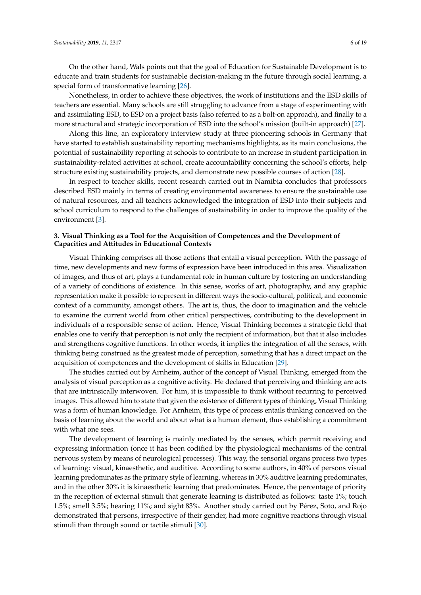On the other hand, Wals points out that the goal of Education for Sustainable Development is to educate and train students for sustainable decision-making in the future through social learning, a special form of transformative learning [\[26\]](#page-17-2).

Nonetheless, in order to achieve these objectives, the work of institutions and the ESD skills of teachers are essential. Many schools are still struggling to advance from a stage of experimenting with and assimilating ESD, to ESD on a project basis (also referred to as a bolt-on approach), and finally to a more structural and strategic incorporation of ESD into the school's mission (built-in approach) [\[27\]](#page-17-3).

Along this line, an exploratory interview study at three pioneering schools in Germany that have started to establish sustainability reporting mechanisms highlights, as its main conclusions, the potential of sustainability reporting at schools to contribute to an increase in student participation in sustainability-related activities at school, create accountability concerning the school's efforts, help structure existing sustainability projects, and demonstrate new possible courses of action [\[28\]](#page-17-4).

In respect to teacher skills, recent research carried out in Namibia concludes that professors described ESD mainly in terms of creating environmental awareness to ensure the sustainable use of natural resources, and all teachers acknowledged the integration of ESD into their subjects and school curriculum to respond to the challenges of sustainability in order to improve the quality of the environment [\[3\]](#page-16-2).

#### **3. Visual Thinking as a Tool for the Acquisition of Competences and the Development of Capacities and Attitudes in Educational Contexts**

Visual Thinking comprises all those actions that entail a visual perception. With the passage of time, new developments and new forms of expression have been introduced in this area. Visualization of images, and thus of art, plays a fundamental role in human culture by fostering an understanding of a variety of conditions of existence. In this sense, works of art, photography, and any graphic representation make it possible to represent in different ways the socio-cultural, political, and economic context of a community, amongst others. The art is, thus, the door to imagination and the vehicle to examine the current world from other critical perspectives, contributing to the development in individuals of a responsible sense of action. Hence, Visual Thinking becomes a strategic field that enables one to verify that perception is not only the recipient of information, but that it also includes and strengthens cognitive functions. In other words, it implies the integration of all the senses, with thinking being construed as the greatest mode of perception, something that has a direct impact on the acquisition of competences and the development of skills in Education [\[29\]](#page-17-5).

The studies carried out by Arnheim, author of the concept of Visual Thinking, emerged from the analysis of visual perception as a cognitive activity. He declared that perceiving and thinking are acts that are intrinsically interwoven. For him, it is impossible to think without recurring to perceived images. This allowed him to state that given the existence of different types of thinking, Visual Thinking was a form of human knowledge. For Arnheim, this type of process entails thinking conceived on the basis of learning about the world and about what is a human element, thus establishing a commitment with what one sees.

The development of learning is mainly mediated by the senses, which permit receiving and expressing information (once it has been codified by the physiological mechanisms of the central nervous system by means of neurological processes). This way, the sensorial organs process two types of learning: visual, kinaesthetic, and auditive. According to some authors, in 40% of persons visual learning predominates as the primary style of learning, whereas in 30% auditive learning predominates, and in the other 30% it is kinaesthetic learning that predominates. Hence, the percentage of priority in the reception of external stimuli that generate learning is distributed as follows: taste 1%; touch 1.5%; smell 3.5%; hearing 11%; and sight 83%. Another study carried out by Pérez, Soto, and Rojo demonstrated that persons, irrespective of their gender, had more cognitive reactions through visual stimuli than through sound or tactile stimuli [\[30\]](#page-17-6).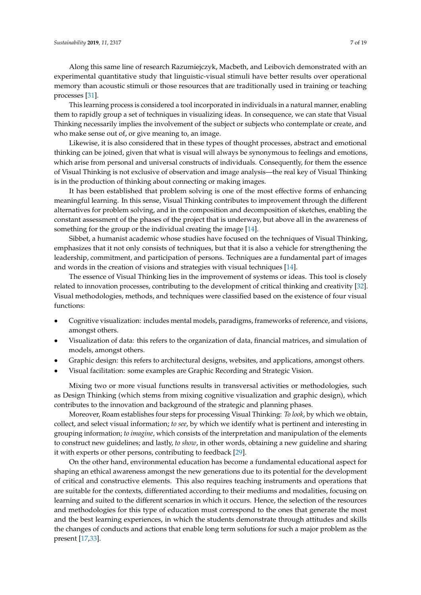Along this same line of research Razumiejczyk, Macbeth, and Leibovich demonstrated with an experimental quantitative study that linguistic-visual stimuli have better results over operational memory than acoustic stimuli or those resources that are traditionally used in training or teaching processes [\[31\]](#page-17-7).

This learning process is considered a tool incorporated in individuals in a natural manner, enabling them to rapidly group a set of techniques in visualizing ideas. In consequence, we can state that Visual Thinking necessarily implies the involvement of the subject or subjects who contemplate or create, and who make sense out of, or give meaning to, an image.

Likewise, it is also considered that in these types of thought processes, abstract and emotional thinking can be joined, given that what is visual will always be synonymous to feelings and emotions, which arise from personal and universal constructs of individuals. Consequently, for them the essence of Visual Thinking is not exclusive of observation and image analysis—the real key of Visual Thinking is in the production of thinking about connecting or making images.

It has been established that problem solving is one of the most effective forms of enhancing meaningful learning. In this sense, Visual Thinking contributes to improvement through the different alternatives for problem solving, and in the composition and decomposition of sketches, enabling the constant assessment of the phases of the project that is underway, but above all in the awareness of something for the group or the individual creating the image [\[14\]](#page-16-13).

Sibbet, a humanist academic whose studies have focused on the techniques of Visual Thinking, emphasizes that it not only consists of techniques, but that it is also a vehicle for strengthening the leadership, commitment, and participation of persons. Techniques are a fundamental part of images and words in the creation of visions and strategies with visual techniques [\[14\]](#page-16-13).

The essence of Visual Thinking lies in the improvement of systems or ideas. This tool is closely related to innovation processes, contributing to the development of critical thinking and creativity [\[32\]](#page-17-8). Visual methodologies, methods, and techniques were classified based on the existence of four visual functions:

- Cognitive visualization: includes mental models, paradigms, frameworks of reference, and visions, amongst others.
- Visualization of data: this refers to the organization of data, financial matrices, and simulation of models, amongst others.
- Graphic design: this refers to architectural designs, websites, and applications, amongst others.
- Visual facilitation: some examples are Graphic Recording and Strategic Vision.

Mixing two or more visual functions results in transversal activities or methodologies, such as Design Thinking (which stems from mixing cognitive visualization and graphic design), which contributes to the innovation and background of the strategic and planning phases.

Moreover, Roam establishes four steps for processing Visual Thinking: *To look*, by which we obtain, collect, and select visual information; *to see*, by which we identify what is pertinent and interesting in grouping information; *to imagine*, which consists of the interpretation and manipulation of the elements to construct new guidelines; and lastly, *to show*, in other words, obtaining a new guideline and sharing it with experts or other persons, contributing to feedback [\[29\]](#page-17-5).

On the other hand, environmental education has become a fundamental educational aspect for shaping an ethical awareness amongst the new generations due to its potential for the development of critical and constructive elements. This also requires teaching instruments and operations that are suitable for the contexts, differentiated according to their mediums and modalities, focusing on learning and suited to the different scenarios in which it occurs. Hence, the selection of the resources and methodologies for this type of education must correspond to the ones that generate the most and the best learning experiences, in which the students demonstrate through attitudes and skills the changes of conducts and actions that enable long term solutions for such a major problem as the present [\[17,](#page-16-16)[33\]](#page-17-9).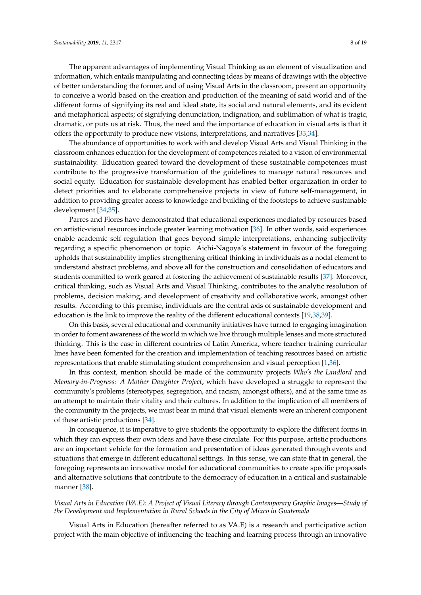The apparent advantages of implementing Visual Thinking as an element of visualization and information, which entails manipulating and connecting ideas by means of drawings with the objective of better understanding the former, and of using Visual Arts in the classroom, present an opportunity to conceive a world based on the creation and production of the meaning of said world and of the different forms of signifying its real and ideal state, its social and natural elements, and its evident and metaphorical aspects; of signifying denunciation, indignation, and sublimation of what is tragic, dramatic, or puts us at risk. Thus, the need and the importance of education in visual arts is that it offers the opportunity to produce new visions, interpretations, and narratives [\[33](#page-17-9)[,34\]](#page-17-10).

The abundance of opportunities to work with and develop Visual Arts and Visual Thinking in the classroom enhances education for the development of competences related to a vision of environmental sustainability. Education geared toward the development of these sustainable competences must contribute to the progressive transformation of the guidelines to manage natural resources and social equity. Education for sustainable development has enabled better organization in order to detect priorities and to elaborate comprehensive projects in view of future self-management, in addition to providing greater access to knowledge and building of the footsteps to achieve sustainable development [\[34,](#page-17-10)[35\]](#page-17-11).

Parres and Flores have demonstrated that educational experiences mediated by resources based on artistic-visual resources include greater learning motivation [\[36\]](#page-17-12). In other words, said experiences enable academic self-regulation that goes beyond simple interpretations, enhancing subjectivity regarding a specific phenomenon or topic. Aichi-Nagoya's statement in favour of the foregoing upholds that sustainability implies strengthening critical thinking in individuals as a nodal element to understand abstract problems, and above all for the construction and consolidation of educators and students committed to work geared at fostering the achievement of sustainable results [\[37\]](#page-17-13). Moreover, critical thinking, such as Visual Arts and Visual Thinking, contributes to the analytic resolution of problems, decision making, and development of creativity and collaborative work, amongst other results. According to this premise, individuals are the central axis of sustainable development and education is the link to improve the reality of the different educational contexts [\[19,](#page-16-18)[38,](#page-17-14)[39\]](#page-17-15).

On this basis, several educational and community initiatives have turned to engaging imagination in order to foment awareness of the world in which we live through multiple lenses and more structured thinking. This is the case in different countries of Latin America, where teacher training curricular lines have been fomented for the creation and implementation of teaching resources based on artistic representations that enable stimulating student comprehension and visual perception [\[1](#page-16-0)[,36\]](#page-17-12).

In this context, mention should be made of the community projects *Who's the Landlord* and *Memory-in-Progress: A Mother Daughter Project*, which have developed a struggle to represent the community's problems (stereotypes, segregation, and racism, amongst others), and at the same time as an attempt to maintain their vitality and their cultures. In addition to the implication of all members of the community in the projects, we must bear in mind that visual elements were an inherent component of these artistic productions [\[34\]](#page-17-10).

In consequence, it is imperative to give students the opportunity to explore the different forms in which they can express their own ideas and have these circulate. For this purpose, artistic productions are an important vehicle for the formation and presentation of ideas generated through events and situations that emerge in different educational settings. In this sense, we can state that in general, the foregoing represents an innovative model for educational communities to create specific proposals and alternative solutions that contribute to the democracy of education in a critical and sustainable manner [\[38\]](#page-17-14).

#### *Visual Arts in Education (VA.E): A Project of Visual Literacy through Contemporary Graphic Images—Study of the Development and Implementation in Rural Schools in the City of Mixco in Guatemala*

Visual Arts in Education (hereafter referred to as VA.E) is a research and participative action project with the main objective of influencing the teaching and learning process through an innovative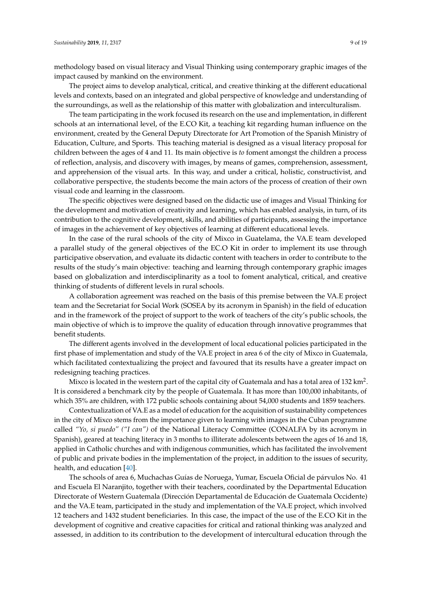methodology based on visual literacy and Visual Thinking using contemporary graphic images of the impact caused by mankind on the environment.

The project aims to develop analytical, critical, and creative thinking at the different educational levels and contexts, based on an integrated and global perspective of knowledge and understanding of the surroundings, as well as the relationship of this matter with globalization and interculturalism.

The team participating in the work focused its research on the use and implementation, in different schools at an international level, of the E.CO Kit, a teaching kit regarding human influence on the environment, created by the General Deputy Directorate for Art Promotion of the Spanish Ministry of Education, Culture, and Sports. This teaching material is designed as a visual literacy proposal for children between the ages of 4 and 11. Its main objective is *to* foment amongst the children a process of reflection, analysis, and discovery with images, by means of games, comprehension, assessment, and apprehension of the visual arts. In this way, and under a critical, holistic, constructivist, and collaborative perspective, the students become the main actors of the process of creation of their own visual code and learning in the classroom.

The specific objectives were designed based on the didactic use of images and Visual Thinking for the development and motivation of creativity and learning, which has enabled analysis, in turn, of its contribution to the cognitive development, skills, and abilities of participants, assessing the importance of images in the achievement of key objectives of learning at different educational levels.

In the case of the rural schools of the city of Mixco in Guatelama, the VA.E team developed a parallel study of the general objectives of the EC.O Kit in order to implement its use through participative observation, and evaluate its didactic content with teachers in order to contribute to the results of the study's main objective: teaching and learning through contemporary graphic images based on globalization and interdisciplinarity as a tool to foment analytical, critical, and creative thinking of students of different levels in rural schools.

A collaboration agreement was reached on the basis of this premise between the VA.E project team and the Secretariat for Social Work (SOSEA by its acronym in Spanish) in the field of education and in the framework of the project of support to the work of teachers of the city's public schools, the main objective of which is to improve the quality of education through innovative programmes that benefit students.

The different agents involved in the development of local educational policies participated in the first phase of implementation and study of the VA.E project in area 6 of the city of Mixco in Guatemala, which facilitated contextualizing the project and favoured that its results have a greater impact on redesigning teaching practices.

Mixco is located in the western part of the capital city of Guatemala and has a total area of 132 km<sup>2</sup>. It is considered a benchmark city by the people of Guatemala. It has more than 100,000 inhabitants, of which 35% are children, with 172 public schools containing about 54,000 students and 1859 teachers.

Contextualization of VA.E as a model of education for the acquisition of sustainability competences in the city of Mixco stems from the importance given to learning with images in the Cuban programme called *"Yo, si puedo" ("I can")* of the National Literacy Committee (CONALFA by its acronym in Spanish), geared at teaching literacy in 3 months to illiterate adolescents between the ages of 16 and 18, applied in Catholic churches and with indigenous communities, which has facilitated the involvement of public and private bodies in the implementation of the project, in addition to the issues of security, health, and education [\[40\]](#page-17-16).

The schools of area 6, Muchachas Guías de Noruega, Yumar, Escuela Oficial de párvulos No. 41 and Escuela El Naranjito, together with their teachers, coordinated by the Departmental Education Directorate of Western Guatemala (Dirección Departamental de Educación de Guatemala Occidente) and the VA.E team, participated in the study and implementation of the VA.E project, which involved 12 teachers and 1432 student beneficiaries. In this case, the impact of the use of the E.CO Kit in the development of cognitive and creative capacities for critical and rational thinking was analyzed and assessed, in addition to its contribution to the development of intercultural education through the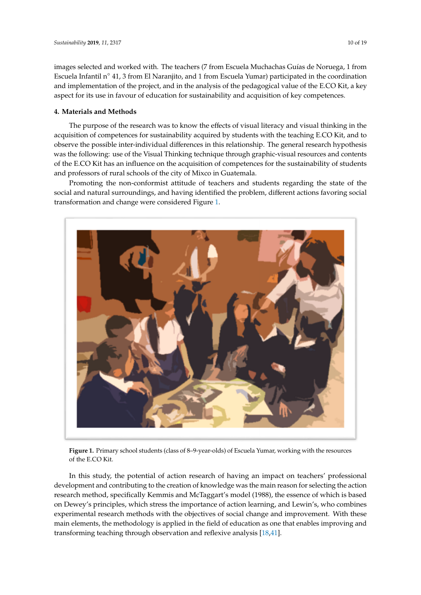images selected and worked with. The teachers (7 from Escuela Muchachas Guías de Noruega, 1 from Escuela Infantil n◦ 41, 3 from El Naranjito, and 1 from Escuela Yumar) participated in the coordination and implementation of the project, and in the analysis of the pedagogical value of the E.CO Kit, a key aspect for its use in favour of education for sustainability and acquisition of key competences.

#### **4. Materials and Methods**

The purpose of the research was to know the effects of visual literacy and visual thinking in the acquisition of competences for sustainability acquired by students with the teaching E.CO Kit, and to observe the possible inter-individual differences in this relationship. The general research hypothesis was the following: use of the Visual Thinking technique through graphic-visual resources and contents of the E.CO Kit has an influence on the acquisition of competences for the sustainability of students and professors of rural schools of the city of Mixco in Guatemala. observe the possible inter-individual differences in this relationship. The general research hypothesis<br>was the following: use of the Visual Thinking technique through graphic-visual resources and contents<br>of the E.CO Kit

Promoting the non-conformist attitude of teachers and students regarding the state of the Promoting the non-conformist attitude of teachers and students regarding the state of the social and natural surroundings, and having identified the problem, different actions favoring social transformation and change were considered Figure 1. transformation and change were considered Figur[e 1](#page-9-0).

<span id="page-9-0"></span>

**Figure 1.** Primary school students (class of 8–9-year-olds) of Escuela Yumar, working with the **Figure 1.** Primary school students (class of 8–9-year-olds) of Escuela Yumar, working with the resources of the E.CO Kit.

In this study, the potential of action research of having an impact on teachers' professional In this study, the potential of action research of having an impact on teachers' professional development and contributing to the creation of knowledge was the main reason for selecting the development and contributing to the creation of knowledge was the main reason for selecting the action research method, specifically Kemmis and McTaggart's model (1988), the essence of which is based on Dewey's principles, which stress the importance of action learning, and Lewin's, who combines experimental research methods with the objectives of social change and improvement. With these main elements, the methodology is applied in the field of education as one that enables improving and methodology is applied in the field of education as one that enables improving and transforming teaching through observation and reflexive analysis [\[18](#page-16-17)[,41\]](#page-17-17).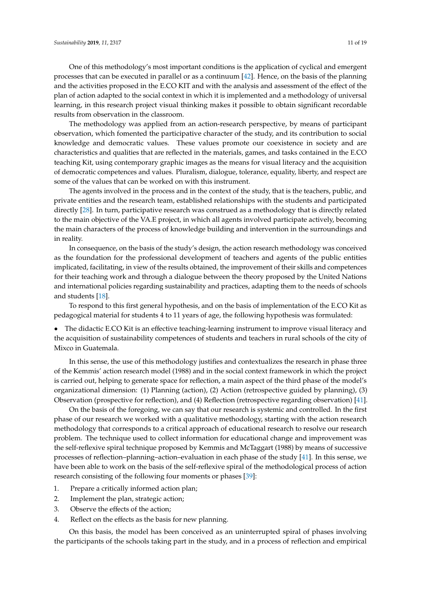The methodology was applied from an action-research perspective, by means of participant observation, which fomented the participative character of the study, and its contribution to social knowledge and democratic values. These values promote our coexistence in society and are characteristics and qualities that are reflected in the materials, games, and tasks contained in the E.CO teaching Kit, using contemporary graphic images as the means for visual literacy and the acquisition of democratic competences and values. Pluralism, dialogue, tolerance, equality, liberty, and respect are some of the values that can be worked on with this instrument.

The agents involved in the process and in the context of the study, that is the teachers, public, and private entities and the research team, established relationships with the students and participated directly [\[28\]](#page-17-4). In turn, participative research was construed as a methodology that is directly related to the main objective of the VA.E project, in which all agents involved participate actively, becoming the main characters of the process of knowledge building and intervention in the surroundings and in reality.

In consequence, on the basis of the study's design, the action research methodology was conceived as the foundation for the professional development of teachers and agents of the public entities implicated, facilitating, in view of the results obtained, the improvement of their skills and competences for their teaching work and through a dialogue between the theory proposed by the United Nations and international policies regarding sustainability and practices, adapting them to the needs of schools and students [\[18\]](#page-16-17).

To respond to this first general hypothesis, and on the basis of implementation of the E.CO Kit as pedagogical material for students 4 to 11 years of age, the following hypothesis was formulated:

• The didactic E.CO Kit is an effective teaching-learning instrument to improve visual literacy and the acquisition of sustainability competences of students and teachers in rural schools of the city of Mixco in Guatemala.

In this sense, the use of this methodology justifies and contextualizes the research in phase three of the Kemmis' action research model (1988) and in the social context framework in which the project is carried out, helping to generate space for reflection, a main aspect of the third phase of the model's organizational dimension: (1) Planning (action), (2) Action (retrospective guided by planning), (3) Observation (prospective for reflection), and (4) Reflection (retrospective regarding observation) [\[41\]](#page-17-17).

On the basis of the foregoing, we can say that our research is systemic and controlled. In the first phase of our research we worked with a qualitative methodology, starting with the action research methodology that corresponds to a critical approach of educational research to resolve our research problem. The technique used to collect information for educational change and improvement was the self-reflexive spiral technique proposed by Kemmis and McTaggart (1988) by means of successive processes of reflection–planning–action–evaluation in each phase of the study [\[41\]](#page-17-17). In this sense, we have been able to work on the basis of the self-reflexive spiral of the methodological process of action research consisting of the following four moments or phases [\[39\]](#page-17-15):

- 1. Prepare a critically informed action plan;
- 2. Implement the plan, strategic action;
- 3. Observe the effects of the action;
- 4. Reflect on the effects as the basis for new planning.

On this basis, the model has been conceived as an uninterrupted spiral of phases involving the participants of the schools taking part in the study, and in a process of reflection and empirical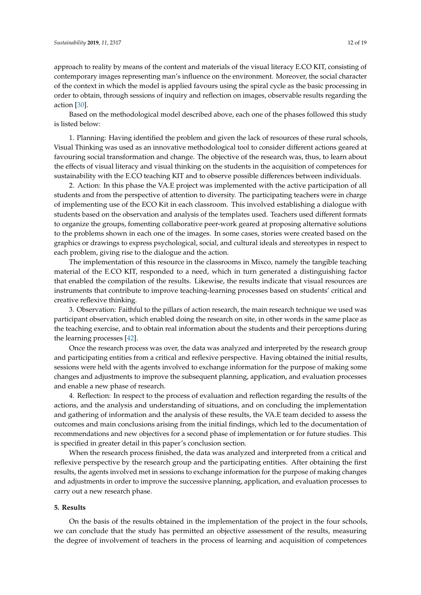approach to reality by means of the content and materials of the visual literacy E.CO KIT, consisting of contemporary images representing man's influence on the environment. Moreover, the social character of the context in which the model is applied favours using the spiral cycle as the basic processing in order to obtain, through sessions of inquiry and reflection on images, observable results regarding the action [\[30\]](#page-17-6).

Based on the methodological model described above, each one of the phases followed this study is listed below:

1. Planning: Having identified the problem and given the lack of resources of these rural schools, Visual Thinking was used as an innovative methodological tool to consider different actions geared at favouring social transformation and change. The objective of the research was, thus, to learn about the effects of visual literacy and visual thinking on the students in the acquisition of competences for sustainability with the E.CO teaching KIT and to observe possible differences between individuals.

2. Action: In this phase the VA.E project was implemented with the active participation of all students and from the perspective of attention to diversity. The participating teachers were in charge of implementing use of the ECO Kit in each classroom. This involved establishing a dialogue with students based on the observation and analysis of the templates used. Teachers used different formats to organize the groups, fomenting collaborative peer-work geared at proposing alternative solutions to the problems shown in each one of the images. In some cases, stories were created based on the graphics or drawings to express psychological, social, and cultural ideals and stereotypes in respect to each problem, giving rise to the dialogue and the action.

The implementation of this resource in the classrooms in Mixco, namely the tangible teaching material of the E.CO KIT, responded to a need, which in turn generated a distinguishing factor that enabled the compilation of the results. Likewise, the results indicate that visual resources are instruments that contribute to improve teaching-learning processes based on students' critical and creative reflexive thinking.

3. Observation: Faithful to the pillars of action research, the main research technique we used was participant observation, which enabled doing the research on site, in other words in the same place as the teaching exercise, and to obtain real information about the students and their perceptions during the learning processes [\[42\]](#page-17-18).

Once the research process was over, the data was analyzed and interpreted by the research group and participating entities from a critical and reflexive perspective. Having obtained the initial results, sessions were held with the agents involved to exchange information for the purpose of making some changes and adjustments to improve the subsequent planning, application, and evaluation processes and enable a new phase of research.

4. Reflection: In respect to the process of evaluation and reflection regarding the results of the actions, and the analysis and understanding of situations, and on concluding the implementation and gathering of information and the analysis of these results, the VA.E team decided to assess the outcomes and main conclusions arising from the initial findings, which led to the documentation of recommendations and new objectives for a second phase of implementation or for future studies. This is specified in greater detail in this paper's conclusion section.

When the research process finished, the data was analyzed and interpreted from a critical and reflexive perspective by the research group and the participating entities. After obtaining the first results, the agents involved met in sessions to exchange information for the purpose of making changes and adjustments in order to improve the successive planning, application, and evaluation processes to carry out a new research phase.

#### **5. Results**

On the basis of the results obtained in the implementation of the project in the four schools, we can conclude that the study has permitted an objective assessment of the results, measuring the degree of involvement of teachers in the process of learning and acquisition of competences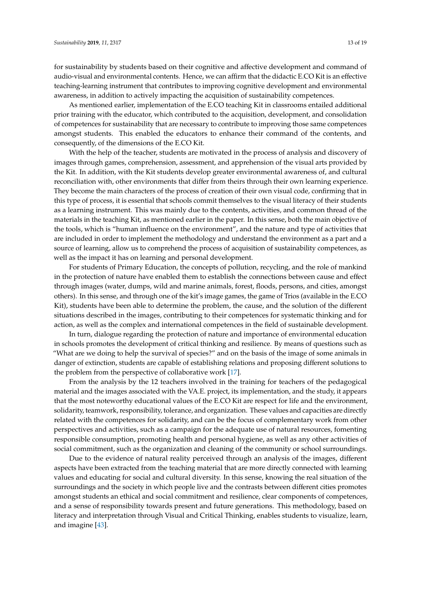for sustainability by students based on their cognitive and affective development and command of audio-visual and environmental contents. Hence, we can affirm that the didactic E.CO Kit is an effective teaching-learning instrument that contributes to improving cognitive development and environmental awareness, in addition to actively impacting the acquisition of sustainability competences.

As mentioned earlier, implementation of the E.CO teaching Kit in classrooms entailed additional prior training with the educator, which contributed to the acquisition, development, and consolidation of competences for sustainability that are necessary to contribute to improving those same competences amongst students. This enabled the educators to enhance their command of the contents, and consequently, of the dimensions of the E.CO Kit.

With the help of the teacher, students are motivated in the process of analysis and discovery of images through games, comprehension, assessment, and apprehension of the visual arts provided by the Kit. In addition, with the Kit students develop greater environmental awareness of, and cultural reconciliation with, other environments that differ from theirs through their own learning experience. They become the main characters of the process of creation of their own visual code, confirming that in this type of process, it is essential that schools commit themselves to the visual literacy of their students as a learning instrument. This was mainly due to the contents, activities, and common thread of the materials in the teaching Kit, as mentioned earlier in the paper. In this sense, both the main objective of the tools, which is "human influence on the environment", and the nature and type of activities that are included in order to implement the methodology and understand the environment as a part and a source of learning, allow us to comprehend the process of acquisition of sustainability competences, as well as the impact it has on learning and personal development.

For students of Primary Education, the concepts of pollution, recycling, and the role of mankind in the protection of nature have enabled them to establish the connections between cause and effect through images (water, dumps, wild and marine animals, forest, floods, persons, and cities, amongst others). In this sense, and through one of the kit's image games, the game of Trios (available in the E.CO Kit), students have been able to determine the problem, the cause, and the solution of the different situations described in the images, contributing to their competences for systematic thinking and for action, as well as the complex and international competences in the field of sustainable development.

In turn, dialogue regarding the protection of nature and importance of environmental education in schools promotes the development of critical thinking and resilience. By means of questions such as "What are we doing to help the survival of species?" and on the basis of the image of some animals in danger of extinction, students are capable of establishing relations and proposing different solutions to the problem from the perspective of collaborative work [\[17\]](#page-16-16).

From the analysis by the 12 teachers involved in the training for teachers of the pedagogical material and the images associated with the VA.E. project, its implementation, and the study, it appears that the most noteworthy educational values of the E.CO Kit are respect for life and the environment, solidarity, teamwork, responsibility, tolerance, and organization. These values and capacities are directly related with the competences for solidarity, and can be the focus of complementary work from other perspectives and activities, such as a campaign for the adequate use of natural resources, fomenting responsible consumption, promoting health and personal hygiene, as well as any other activities of social commitment, such as the organization and cleaning of the community or school surroundings.

Due to the evidence of natural reality perceived through an analysis of the images, different aspects have been extracted from the teaching material that are more directly connected with learning values and educating for social and cultural diversity. In this sense, knowing the real situation of the surroundings and the society in which people live and the contrasts between different cities promotes amongst students an ethical and social commitment and resilience, clear components of competences, and a sense of responsibility towards present and future generations. This methodology, based on literacy and interpretation through Visual and Critical Thinking, enables students to visualize, learn, and imagine [\[43\]](#page-17-19).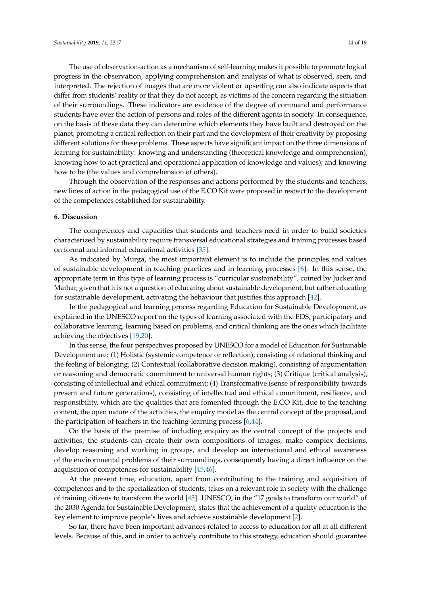The use of observation-action as a mechanism of self-learning makes it possible to promote logical progress in the observation, applying comprehension and analysis of what is observed, seen, and interpreted. The rejection of images that are more violent or upsetting can also indicate aspects that differ from students' reality or that they do not accept, as victims of the concern regarding the situation of their surroundings. These indicators are evidence of the degree of command and performance students have over the action of persons and roles of the different agents in society. In consequence, on the basis of these data they can determine which elements they have built and destroyed on the planet, promoting a critical reflection on their part and the development of their creativity by proposing different solutions for these problems. These aspects have significant impact on the three dimensions of learning for sustainability: knowing and understanding (theoretical knowledge and comprehension); knowing how to act (practical and operational application of knowledge and values); and knowing how to be (the values and comprehension of others).

Through the observation of the responses and actions performed by the students and teachers, new lines of action in the pedagogical use of the E.CO Kit were proposed in respect to the development of the competences established for sustainability.

#### **6. Discussion**

The competences and capacities that students and teachers need in order to build societies characterized by sustainability require transversal educational strategies and training processes based on formal and informal educational activities [\[35\]](#page-17-11).

As indicated by Murga, the most important element is to include the principles and values of sustainable development in teaching practices and in learning processes [\[6\]](#page-16-4). In this sense, the appropriate term in this type of learning process is "curricular sustainability", coined by Jucker and Mathar, given that it is not a question of educating about sustainable development, but rather educating for sustainable development, activating the behaviour that justifies this approach [\[42\]](#page-17-18).

In the pedagogical and learning process regarding Education for Sustainable Development, as explained in the UNESCO report on the types of learning associated with the EDS, participatory and collaborative learning, learning based on problems, and critical thinking are the ones which facilitate achieving the objectives [\[19,](#page-16-18)[20\]](#page-16-19).

In this sense, the four perspectives proposed by UNESCO for a model of Education for Sustainable Development are: (1) Holistic (systemic competence or reflection), consisting of relational thinking and the feeling of belonging; (2) Contextual (collaborative decision making), consisting of argumentation or reasoning and democratic commitment to universal human rights; (3) Critique (critical analysis), consisting of intellectual and ethical commitment; (4) Transformative (sense of responsibility towards present and future generations), consisting of intellectual and ethical commitment, resilience, and responsibility, which are the qualities that are fomented through the E.CO Kit, due to the teaching content, the open nature of the activities, the enquiry model as the central concept of the proposal, and the participation of teachers in the teaching-learning process [\[6](#page-16-4)[,44\]](#page-17-20).

On the basis of the premise of including enquiry as the central concept of the projects and activities, the students can create their own compositions of images, make complex decisions, develop reasoning and working in groups, and develop an international and ethical awareness of the environmental problems of their surroundings, consequently having a direct influence on the acquisition of competences for sustainability [\[45,](#page-17-21)[46\]](#page-17-22).

At the present time, education, apart from contributing to the training and acquisition of competences and to the specialization of students, takes on a relevant role in society with the challenge of training citizens to transform the world [\[45\]](#page-17-21). UNESCO, in the "17 goals to transform our world" of the 2030 Agenda for Sustainable Development, states that the achievement of a quality education is the key element to improve people's lives and achieve sustainable development [\[2\]](#page-16-1).

So far, there have been important advances related to access to education for all at all different levels. Because of this, and in order to actively contribute to this strategy, education should guarantee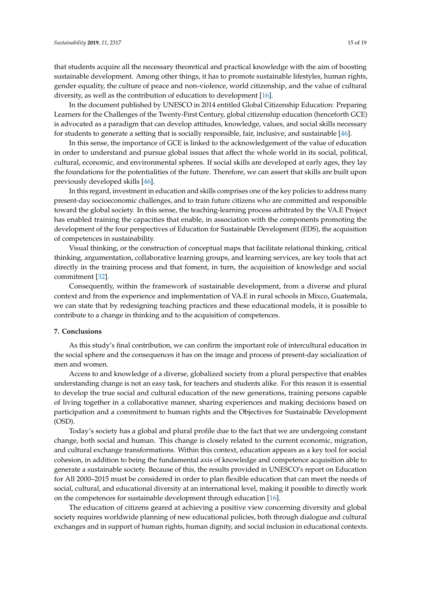that students acquire all the necessary theoretical and practical knowledge with the aim of boosting sustainable development. Among other things, it has to promote sustainable lifestyles, human rights, gender equality, the culture of peace and non-violence, world citizenship, and the value of cultural diversity, as well as the contribution of education to development [\[16\]](#page-16-15).

In the document published by UNESCO in 2014 entitled Global Citizenship Education: Preparing Learners for the Challenges of the Twenty-First Century, global citizenship education (henceforth GCE) is advocated as a paradigm that can develop attitudes, knowledge, values, and social skills necessary for students to generate a setting that is socially responsible, fair, inclusive, and sustainable [\[46\]](#page-17-22).

In this sense, the importance of GCE is linked to the acknowledgement of the value of education in order to understand and pursue global issues that affect the whole world in its social, political, cultural, economic, and environmental spheres. If social skills are developed at early ages, they lay the foundations for the potentialities of the future. Therefore, we can assert that skills are built upon previously developed skills [\[46\]](#page-17-22).

In this regard, investment in education and skills comprises one of the key policies to address many present-day socioeconomic challenges, and to train future citizens who are committed and responsible toward the global society. In this sense, the teaching-learning process arbitrated by the VA.E Project has enabled training the capacities that enable, in association with the components promoting the development of the four perspectives of Education for Sustainable Development (EDS), the acquisition of competences in sustainability.

Visual thinking, or the construction of conceptual maps that facilitate relational thinking, critical thinking, argumentation, collaborative learning groups, and learning services, are key tools that act directly in the training process and that foment, in turn, the acquisition of knowledge and social commitment [\[32\]](#page-17-8).

Consequently, within the framework of sustainable development, from a diverse and plural context and from the experience and implementation of VA.E in rural schools in Mixco, Guatemala, we can state that by redesigning teaching practices and these educational models, it is possible to contribute to a change in thinking and to the acquisition of competences.

#### **7. Conclusions**

As this study's final contribution, we can confirm the important role of intercultural education in the social sphere and the consequences it has on the image and process of present-day socialization of men and women.

Access to and knowledge of a diverse, globalized society from a plural perspective that enables understanding change is not an easy task, for teachers and students alike. For this reason it is essential to develop the true social and cultural education of the new generations, training persons capable of living together in a collaborative manner, sharing experiences and making decisions based on participation and a commitment to human rights and the Objectives for Sustainable Development (OSD).

Today's society has a global and plural profile due to the fact that we are undergoing constant change, both social and human. This change is closely related to the current economic, migration, and cultural exchange transformations. Within this context, education appears as a key tool for social cohesion, in addition to being the fundamental axis of knowledge and competence acquisition able to generate a sustainable society. Because of this, the results provided in UNESCO's report on Education for All 2000–2015 must be considered in order to plan flexible education that can meet the needs of social, cultural, and educational diversity at an international level, making it possible to directly work on the competences for sustainable development through education [\[16\]](#page-16-15).

The education of citizens geared at achieving a positive view concerning diversity and global society requires worldwide planning of new educational policies, both through dialogue and cultural exchanges and in support of human rights, human dignity, and social inclusion in educational contexts.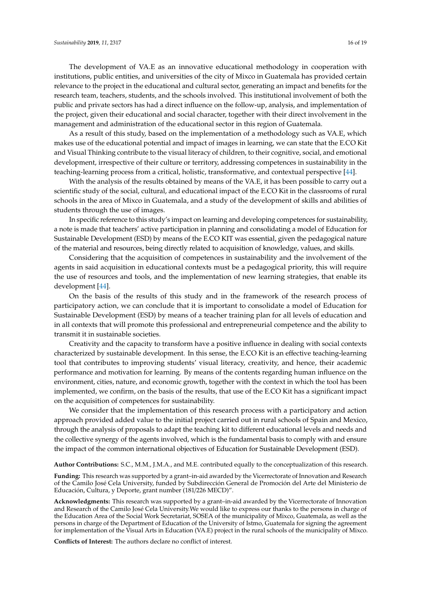The development of VA.E as an innovative educational methodology in cooperation with institutions, public entities, and universities of the city of Mixco in Guatemala has provided certain relevance to the project in the educational and cultural sector, generating an impact and benefits for the research team, teachers, students, and the schools involved. This institutional involvement of both the public and private sectors has had a direct influence on the follow-up, analysis, and implementation of the project, given their educational and social character, together with their direct involvement in the management and administration of the educational sector in this region of Guatemala.

As a result of this study, based on the implementation of a methodology such as VA.E, which makes use of the educational potential and impact of images in learning, we can state that the E.CO Kit and Visual Thinking contribute to the visual literacy of children, to their cognitive, social, and emotional development, irrespective of their culture or territory, addressing competences in sustainability in the teaching-learning process from a critical, holistic, transformative, and contextual perspective [\[44\]](#page-17-20).

With the analysis of the results obtained by means of the VA.E, it has been possible to carry out a scientific study of the social, cultural, and educational impact of the E.CO Kit in the classrooms of rural schools in the area of Mixco in Guatemala, and a study of the development of skills and abilities of students through the use of images.

In specific reference to this study's impact on learning and developing competences for sustainability, a note is made that teachers' active participation in planning and consolidating a model of Education for Sustainable Development (ESD) by means of the E.CO KIT was essential, given the pedagogical nature of the material and resources, being directly related to acquisition of knowledge, values, and skills.

Considering that the acquisition of competences in sustainability and the involvement of the agents in said acquisition in educational contexts must be a pedagogical priority, this will require the use of resources and tools, and the implementation of new learning strategies, that enable its development [\[44\]](#page-17-20).

On the basis of the results of this study and in the framework of the research process of participatory action, we can conclude that it is important to consolidate a model of Education for Sustainable Development (ESD) by means of a teacher training plan for all levels of education and in all contexts that will promote this professional and entrepreneurial competence and the ability to transmit it in sustainable societies.

Creativity and the capacity to transform have a positive influence in dealing with social contexts characterized by sustainable development. In this sense, the E.CO Kit is an effective teaching-learning tool that contributes to improving students' visual literacy, creativity, and hence, their academic performance and motivation for learning. By means of the contents regarding human influence on the environment, cities, nature, and economic growth, together with the context in which the tool has been implemented, we confirm, on the basis of the results, that use of the E.CO Kit has a significant impact on the acquisition of competences for sustainability.

We consider that the implementation of this research process with a participatory and action approach provided added value to the initial project carried out in rural schools of Spain and Mexico, through the analysis of proposals to adapt the teaching kit to different educational levels and needs and the collective synergy of the agents involved, which is the fundamental basis to comply with and ensure the impact of the common international objectives of Education for Sustainable Development (ESD).

**Author Contributions:** S.C., M.M., J.M.A., and M.E. contributed equally to the conceptualization of this research.

**Funding:** This research was supported by a grant–in-aid awarded by the Vicerrectorate of Innovation and Research of the Camilo José Cela University, funded by Subdirección General de Promoción del Arte del Ministerio de Educación, Cultura, y Deporte, grant number (181/226 MECD)".

**Acknowledgments:** This research was supported by a grant–in-aid awarded by the Vicerrectorate of Innovation and Research of the Camilo José Cela University.We would like to express our thanks to the persons in charge of the Education Area of the Social Work Secretariat, SOSEA of the municipality of Mixco, Guatemala, as well as the persons in charge of the Department of Education of the University of Istmo, Guatemala for signing the agreement for implementation of the Visual Arts in Education (VA.E) project in the rural schools of the municipality of Mixco.

**Conflicts of Interest:** The authors declare no conflict of interest.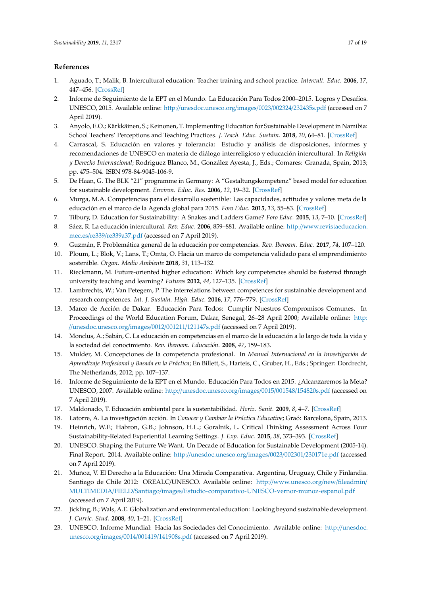# **References**

- <span id="page-16-0"></span>1. Aguado, T.; Malik, B. Intercultural education: Teacher training and school practice. *Intercult. Educ.* **2006**, *17*, 447–456. [\[CrossRef\]](http://dx.doi.org/10.1080/14675980601060401)
- <span id="page-16-1"></span>2. Informe de Seguimiento de la EPT en el Mundo. La Educación Para Todos 2000–2015. Logros y Desafíos. UNESCO, 2015. Available online: http://[unesdoc.unesco.org](http://unesdoc.unesco.org/images/0023/002324/232435s.pdf)/images/0023/002324/232435s.pdf (accessed on 7 April 2019).
- <span id="page-16-2"></span>3. Anyolo, E.O.; Kärkkäinen, S.; Keinonen, T. Implementing Education for Sustainable Development in Namibia: School Teachers' Perceptions and Teaching Practices. *J. Teach. Educ. Sustain.* **2018**, *20*, 64–81. [\[CrossRef\]](http://dx.doi.org/10.2478/jtes-2018-0004)
- <span id="page-16-5"></span>4. Carrascal, S. Educación en valores y tolerancia: Estudio y análisis de disposiciones, informes y recomendaciones de UNESCO en materia de diálogo interreligioso y educación intercultural. In *Religión y Derecho Internacional*; Rodriguez Blanco, M., González Ayesta, J., Eds.; Comares: Granada, Spain, 2013; pp. 475–504. ISBN 978-84-9045-106-9.
- <span id="page-16-3"></span>5. De Haan, G. The BLK "21" programme in Germany: A "Gestaltungskompetenz" based model for education for sustainable development. *Environ. Educ. Res.* **2006**, *12*, 19–32. [\[CrossRef\]](http://dx.doi.org/10.1080/13504620500526362)
- <span id="page-16-4"></span>6. Murga, M.A. Competencias para el desarrollo sostenible: Las capacidades, actitudes y valores meta de la educación en el marco de la Agenda global para 2015. *Foro Educ.* **2015**, *13*, 55–83. [\[CrossRef\]](http://dx.doi.org/10.14516/fde.2015.013.019.004)
- <span id="page-16-6"></span>7. Tilbury, D. Education for Sustainability: A Snakes and Ladders Game? *Foro Educ.* **2015**, *13*, 7–10. [\[CrossRef\]](http://dx.doi.org/10.14516/fde.2015.013.019.001)
- <span id="page-16-7"></span>8. Sáez, R. La educación intercultural. *Rev. Educ.* **2006**, 859–881. Available online: http://[www.revistaeducacion.](http://www.revistaeducacion.mec.es/re339/re339a37.pdf) mec.es/re339/[re339a37.pdf](http://www.revistaeducacion.mec.es/re339/re339a37.pdf) (accessed on 7 April 2019).
- <span id="page-16-8"></span>9. Guzmán, F. Problemática general de la educación por competencias. *Rev. Iberoam. Educ.* **2017**, *74*, 107–120.
- <span id="page-16-9"></span>10. Ploum, L.; Blok, V.; Lans, T.; Omta, O. Hacia un marco de competencia validado para el emprendimiento sostenible. *Organ. Medio Ambiente* **2018**, *31*, 113–132.
- <span id="page-16-10"></span>11. Rieckmann, M. Future-oriented higher education: Which key competencies should be fostered through university teaching and learning? *Futures* **2012**, *44*, 127–135. [\[CrossRef\]](http://dx.doi.org/10.1016/j.futures.2011.09.005)
- <span id="page-16-11"></span>12. Lambrechts, W.; Van Petegem, P. The interrelations between competences for sustainable development and research competences. *Int. J. Sustain. High. Educ.* **2016**, *17*, 776–779. [\[CrossRef\]](http://dx.doi.org/10.1108/IJSHE-03-2015-0060)
- <span id="page-16-12"></span>13. Marco de Acción de Dakar. Educación Para Todos: Cumplir Nuestros Compromisos Comunes. In Proceedings of the World Education Forum, Dakar, Senegal, 26–28 April 2000; Available online: [http:](http://unesdoc.unesco.org/images/0012/001211/121147s.pdf) //[unesdoc.unesco.org](http://unesdoc.unesco.org/images/0012/001211/121147s.pdf)/images/0012/001211/121147s.pdf (accessed on 7 April 2019).
- <span id="page-16-13"></span>14. Monclus, A.; Sabán, C. La educación en competencias en el marco de la educación a lo largo de toda la vida y la sociedad del conocimiento. *Rev. Iberoam. Educación.* **2008**, *47*, 159–183.
- <span id="page-16-14"></span>15. Mulder, M. Concepciones de la competencia profesional. In *Manual Internacional en la Investigación de Aprendizaje Profesional y Basada en la Práctica*; En Billett, S., Harteis, C., Gruber, H., Eds.; Springer: Dordrecht, The Netherlands, 2012; pp. 107–137.
- <span id="page-16-15"></span>16. Informe de Seguimiento de la EPT en el Mundo. Educación Para Todos en 2015. ¿Alcanzaremos la Meta? UNESCO, 2007. Available online: http://[unesdoc.unesco.org](http://unesdoc.unesco.org/images/0015/001548/154820s.pdf)/images/0015/001548/154820s.pdf (accessed on 7 April 2019).
- <span id="page-16-16"></span>17. Maldonado, T. Educación ambiental para la sustentabilidad. *Horiz. Sanit.* **2009**, *8*, 4–7. [\[CrossRef\]](http://dx.doi.org/10.19136/hs.a8n2.168)
- <span id="page-16-17"></span>18. Latorre, A. La investigación acción. In *Conocer y Cambiar la Práctica Educative*; Graó: Barcelona, Spain, 2013.
- <span id="page-16-18"></span>19. Heinrich, W.F.; Habron, G.B.; Johnson, H.L.; Goralnik, L. Critical Thinking Assessment Across Four Sustainability-Related Experiential Learning Settings. *J. Exp. Educ.* **2015**, *38*, 373–393. [\[CrossRef\]](http://dx.doi.org/10.1177/1053825915592890)
- <span id="page-16-19"></span>20. UNESCO. Shaping the Futurre We Want. Un Decade of Education for Sustainable Development (2005-14). Final Report. 2014. Available online: http://[unesdoc.unesco.org](http://unesdoc.unesco.org/images/0023/002301/230171e.pdf)/images/0023/002301/230171e.pdf (accessed on 7 April 2019).
- <span id="page-16-20"></span>21. Muñoz, V. El Derecho a la Educación: Una Mirada Comparativa. Argentina, Uruguay, Chile y Finlandia. Santiago de Chile 2012: OREALC/UNESCO. Available online: http://[www.unesco.org](http://www.unesco.org/new/fileadmin/MULTIMEDIA/FIELD/Santiago/images/Estudio-comparativo-UNESCO-vernor-munoz-espanol.pdf)/new/fileadmin/ MULTIMEDIA/FIELD/Santiago/images/[Estudio-comparativo-UNESCO-vernor-munoz-espanol.pdf](http://www.unesco.org/new/fileadmin/MULTIMEDIA/FIELD/Santiago/images/Estudio-comparativo-UNESCO-vernor-munoz-espanol.pdf) (accessed on 7 April 2019).
- <span id="page-16-21"></span>22. Jickling, B.; Wals, A.E. Globalization and environmental education: Looking beyond sustainable development. *J. Curric. Stud.* **2008**, *40*, 1–21. [\[CrossRef\]](http://dx.doi.org/10.1080/00220270701684667)
- <span id="page-16-22"></span>23. UNESCO. Informe Mundial: Hacia las Sociedades del Conocimiento. Available online: http://[unesdoc.](http://unesdoc.unesco.org/images/0014/001419/141908s.pdf) unesco.org/images/0014/001419/[141908s.pdf](http://unesdoc.unesco.org/images/0014/001419/141908s.pdf) (accessed on 7 April 2019).